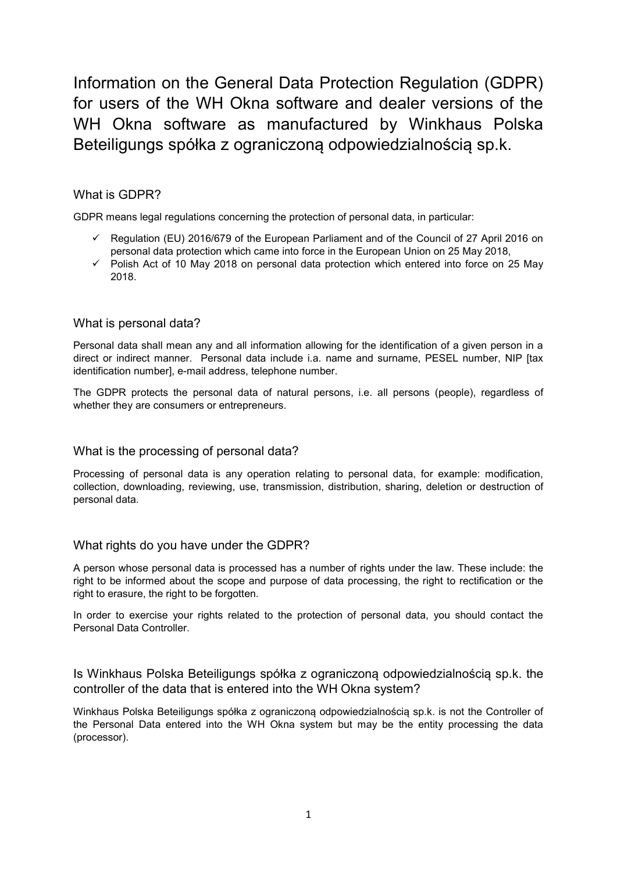Information on the General Data Protection Regulation (GDPR) for users of the WH Okna software and dealer versions of the WH Okna software as manufactured by Winkhaus Polska Beteiligungs spółka z ograniczoną odpowiedzialnością sp.k.

# What is GDPR?

GDPR means legal regulations concerning the protection of personal data, in particular:

- $\checkmark$  Regulation (EU) 2016/679 of the European Parliament and of the Council of 27 April 2016 on personal data protection which came into force in the European Union on 25 May 2018,
- $\checkmark$  Polish Act of 10 May 2018 on personal data protection which entered into force on 25 May 2018.

### What is personal data?

Personal data shall mean any and all information allowing for the identification of a given person in a direct or indirect manner. Personal data include i.a. name and surname, PESEL number, NIP [tax identification number], e-mail address, telephone number.

The GDPR protects the personal data of natural persons, i.e. all persons (people), regardless of whether they are consumers or entrepreneurs.

## What is the processing of personal data?

Processing of personal data is any operation relating to personal data, for example: modification, collection, downloading, reviewing, use, transmission, distribution, sharing, deletion or destruction of personal data.

### What rights do you have under the GDPR?

A person whose personal data is processed has a number of rights under the law. These include: the right to be informed about the scope and purpose of data processing, the right to rectification or the right to erasure, the right to be forgotten.

In order to exercise your rights related to the protection of personal data, you should contact the Personal Data Controller.

Is Winkhaus Polska Beteiligungs spółka z ograniczoną odpowiedzialnością sp.k. the controller of the data that is entered into the WH Okna system?

Winkhaus Polska Beteiligungs spółka z ograniczoną odpowiedzialnością sp.k. is not the Controller of the Personal Data entered into the WH Okna system but may be the entity processing the data (processor).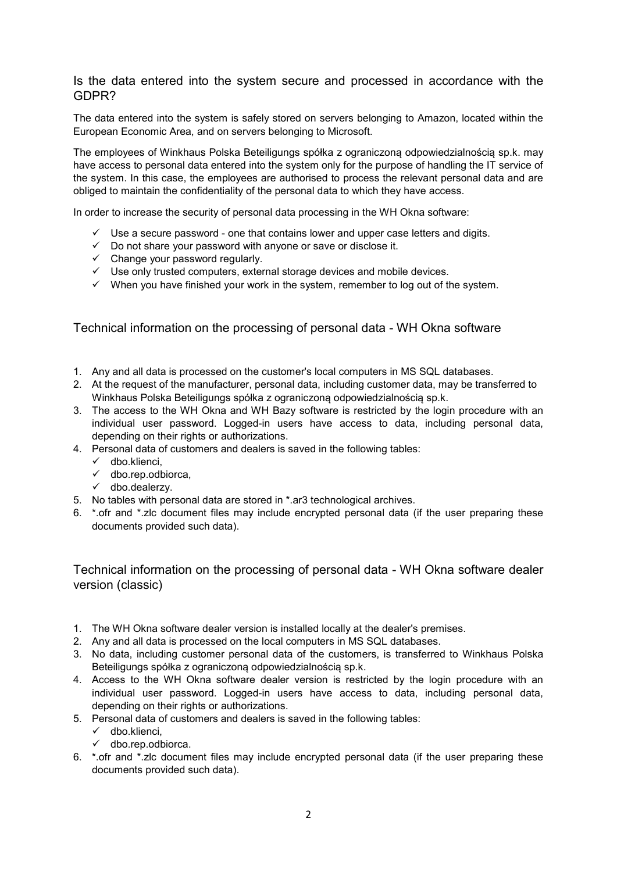## Is the data entered into the system secure and processed in accordance with the GDPR?

The data entered into the system is safely stored on servers belonging to Amazon, located within the European Economic Area, and on servers belonging to Microsoft.

The employees of Winkhaus Polska Beteiligungs spółka z ograniczoną odpowiedzialnością sp.k. may have access to personal data entered into the system only for the purpose of handling the IT service of the system. In this case, the employees are authorised to process the relevant personal data and are obliged to maintain the confidentiality of the personal data to which they have access.

In order to increase the security of personal data processing in the WH Okna software:

- $\checkmark$  Use a secure password one that contains lower and upper case letters and digits.
- $\checkmark$  Do not share your password with anyone or save or disclose it.
- $\checkmark$  Change your password regularly.
- $\checkmark$  Use only trusted computers, external storage devices and mobile devices.
- $\checkmark$  When you have finished your work in the system, remember to log out of the system.

Technical information on the processing of personal data - WH Okna software

- 1. Any and all data is processed on the customer's local computers in MS SQL databases.
- 2. At the request of the manufacturer, personal data, including customer data, may be transferred to Winkhaus Polska Beteiligungs spółka z ograniczoną odpowiedzialnością sp.k.
- 3. The access to the WH Okna and WH Bazy software is restricted by the login procedure with an individual user password. Logged-in users have access to data, including personal data, depending on their rights or authorizations.
- 4. Personal data of customers and dealers is saved in the following tables:
	- $\checkmark$  dbo.klienci,
	- $\checkmark$  dbo.rep.odbiorca.
	- $\checkmark$  dbo.dealerzy.
- 5. No tables with personal data are stored in \*.ar3 technological archives.
- 6. \*.ofr and \*.zlc document files may include encrypted personal data (if the user preparing these documents provided such data).

Technical information on the processing of personal data - WH Okna software dealer version (classic)

- 1. The WH Okna software dealer version is installed locally at the dealer's premises.
- 2. Any and all data is processed on the local computers in MS SQL databases.
- 3. No data, including customer personal data of the customers, is transferred to Winkhaus Polska Beteiligungs spółka z ograniczoną odpowiedzialnością sp.k.
- 4. Access to the WH Okna software dealer version is restricted by the login procedure with an individual user password. Logged-in users have access to data, including personal data, depending on their rights or authorizations.
- 5. Personal data of customers and dealers is saved in the following tables:
	- $\checkmark$  dbo.klienci,
	- $\checkmark$  dbo.rep.odbiorca.
- 6. \*.ofr and \*.zlc document files may include encrypted personal data (if the user preparing these documents provided such data).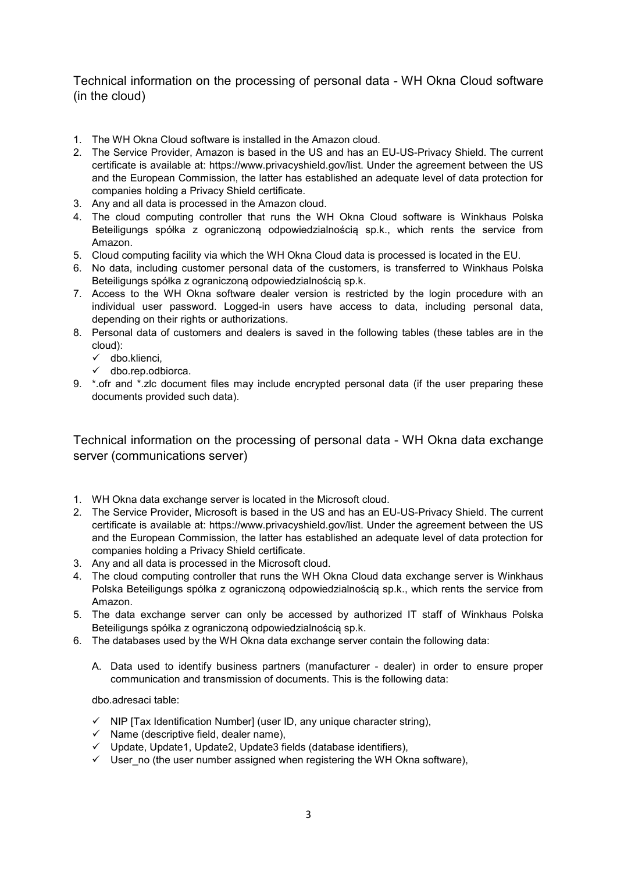Technical information on the processing of personal data - WH Okna Cloud software (in the cloud)

- 1. The WH Okna Cloud software is installed in the Amazon cloud.
- 2. The Service Provider, Amazon is based in the US and has an EU-US-Privacy Shield. The current certificate is available at: https://www.privacyshield.gov/list. Under the agreement between the US and the European Commission, the latter has established an adequate level of data protection for companies holding a Privacy Shield certificate.
- 3. Any and all data is processed in the Amazon cloud.
- 4. The cloud computing controller that runs the WH Okna Cloud software is Winkhaus Polska Beteiligungs spółka z ograniczoną odpowiedzialnością sp.k., which rents the service from Amazon.
- 5. Cloud computing facility via which the WH Okna Cloud data is processed is located in the EU.
- 6. No data, including customer personal data of the customers, is transferred to Winkhaus Polska Beteiligungs spółka z ograniczoną odpowiedzialnością sp.k.
- 7. Access to the WH Okna software dealer version is restricted by the login procedure with an individual user password. Logged-in users have access to data, including personal data, depending on their rights or authorizations.
- 8. Personal data of customers and dealers is saved in the following tables (these tables are in the cloud):
	- $\checkmark$  dbo.klienci,
	- $\checkmark$  dbo.rep.odbiorca.
- 9. \*.ofr and \*.zlc document files may include encrypted personal data (if the user preparing these documents provided such data).

Technical information on the processing of personal data - WH Okna data exchange server (communications server)

- 1. WH Okna data exchange server is located in the Microsoft cloud.
- 2. The Service Provider, Microsoft is based in the US and has an EU-US-Privacy Shield. The current certificate is available at: https://www.privacyshield.gov/list. Under the agreement between the US and the European Commission, the latter has established an adequate level of data protection for companies holding a Privacy Shield certificate.
- 3. Any and all data is processed in the Microsoft cloud.
- 4. The cloud computing controller that runs the WH Okna Cloud data exchange server is Winkhaus Polska Beteiligungs spółka z ograniczoną odpowiedzialnością sp.k., which rents the service from Amazon.
- 5. The data exchange server can only be accessed by authorized IT staff of Winkhaus Polska Beteiligungs spółka z ograniczoną odpowiedzialnością sp.k.
- 6. The databases used by the WH Okna data exchange server contain the following data:
	- A. Data used to identify business partners (manufacturer dealer) in order to ensure proper communication and transmission of documents. This is the following data:

dbo.adresaci table:

- $\checkmark$  NIP [Tax Identification Number] (user ID, any unique character string),
- $\checkmark$  Name (descriptive field, dealer name),
- $\checkmark$  Update, Update1, Update2, Update3 fields (database identifiers),
- $\checkmark$  User no (the user number assigned when registering the WH Okna software),